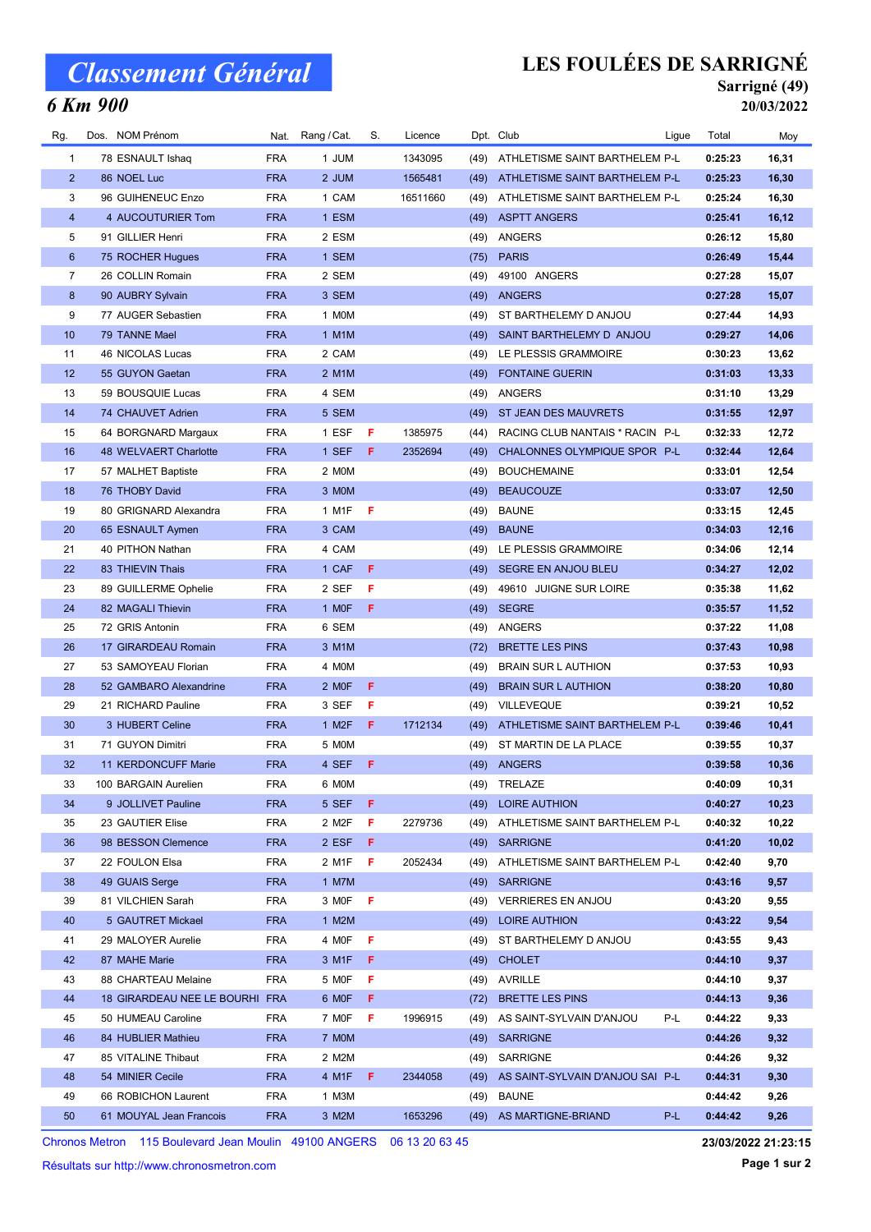# Classement Général

### 6 Km 900

## LES FOULÉES DE SARRIGNÉ

#### Sarrigné (49) 20/03/2022

| Rg.            | Dos. NOM Prénom                |            | Nat. Rang / Cat.   | S. | Licence  |      | Dpt. Club                             | Ligue | Total   | Moy   |
|----------------|--------------------------------|------------|--------------------|----|----------|------|---------------------------------------|-------|---------|-------|
| 1              | 78 ESNAULT Ishaq               | <b>FRA</b> | 1 JUM              |    | 1343095  | (49) | ATHLETISME SAINT BARTHELEM P-L        |       | 0:25:23 | 16,31 |
| $\overline{2}$ | 86 NOEL Luc                    | <b>FRA</b> | 2 JUM              |    | 1565481  | (49) | ATHLETISME SAINT BARTHELEM P-L        |       | 0:25:23 | 16,30 |
| 3              | 96 GUIHENEUC Enzo              | <b>FRA</b> | 1 CAM              |    | 16511660 | (49) | ATHLETISME SAINT BARTHELEM P-L        |       | 0:25:24 | 16,30 |
| $\overline{4}$ | 4 AUCOUTURIER Tom              | <b>FRA</b> | 1 ESM              |    |          | (49) | <b>ASPTT ANGERS</b>                   |       | 0:25:41 | 16,12 |
| 5              | 91 GILLIER Henri               | <b>FRA</b> | 2 ESM              |    |          | (49) | ANGERS                                |       | 0:26:12 | 15,80 |
| 6              | 75 ROCHER Hugues               | <b>FRA</b> | 1 SEM              |    |          |      | $(75)$ PARIS                          |       | 0:26:49 | 15,44 |
| 7              | 26 COLLIN Romain               | <b>FRA</b> | 2 SEM              |    |          | (49) | 49100 ANGERS                          |       | 0:27:28 | 15,07 |
| 8              | 90 AUBRY Sylvain               | <b>FRA</b> | 3 SEM              |    |          | (49) | <b>ANGERS</b>                         |       | 0:27:28 | 15,07 |
| 9              | 77 AUGER Sebastien             | <b>FRA</b> | 1 MOM              |    |          | (49) | ST BARTHELEMY D ANJOU                 |       | 0:27:44 | 14,93 |
| 10             | 79 TANNE Mael                  | <b>FRA</b> | 1 M1M              |    |          | (49) | SAINT BARTHELEMY D ANJOU              |       | 0:29:27 | 14,06 |
| 11             | 46 NICOLAS Lucas               | <b>FRA</b> | 2 CAM              |    |          |      | (49) LE PLESSIS GRAMMOIRE             |       | 0:30:23 | 13,62 |
| 12             | 55 GUYON Gaetan                | <b>FRA</b> | 2 M1M              |    |          | (49) | <b>FONTAINE GUERIN</b>                |       | 0:31:03 | 13,33 |
| 13             | 59 BOUSQUIE Lucas              | <b>FRA</b> | 4 SEM              |    |          | (49) | ANGERS                                |       | 0:31:10 | 13,29 |
| 14             | 74 CHAUVET Adrien              | <b>FRA</b> | 5 SEM              |    |          | (49) | ST JEAN DES MAUVRETS                  |       | 0:31:55 | 12,97 |
| 15             | 64 BORGNARD Margaux            | <b>FRA</b> | 1 ESF              | F. | 1385975  | (44) | RACING CLUB NANTAIS * RACIN P-L       |       | 0:32:33 | 12,72 |
| 16             | 48 WELVAERT Charlotte          | <b>FRA</b> | 1 SEF              | F. | 2352694  | (49) | CHALONNES OLYMPIQUE SPOR P-L          |       | 0:32:44 | 12,64 |
| 17             | 57 MALHET Baptiste             | <b>FRA</b> | 2 MOM              |    |          | (49) | <b>BOUCHEMAINE</b>                    |       | 0:33:01 | 12,54 |
| 18             | 76 THOBY David                 | <b>FRA</b> | 3 MOM              |    |          | (49) | <b>BEAUCOUZE</b>                      |       | 0:33:07 | 12,50 |
| 19             | 80 GRIGNARD Alexandra          | <b>FRA</b> | 1 M1F              | F. |          | (49) | <b>BAUNE</b>                          |       | 0:33:15 | 12,45 |
| 20             | 65 ESNAULT Aymen               | <b>FRA</b> | 3 CAM              |    |          |      | (49) BAUNE                            |       | 0:34:03 | 12,16 |
| 21             | 40 PITHON Nathan               | <b>FRA</b> | 4 CAM              |    |          | (49) | LE PLESSIS GRAMMOIRE                  |       | 0:34:06 | 12,14 |
| 22             | 83 THIEVIN Thais               | <b>FRA</b> | 1 CAF              | F. |          | (49) | SEGRE EN ANJOU BLEU                   |       | 0:34:27 | 12,02 |
| 23             | 89 GUILLERME Ophelie           | <b>FRA</b> | 2 SEF              | F  |          | (49) | 49610 JUIGNE SUR LOIRE                |       | 0:35:38 | 11,62 |
| 24             | 82 MAGALI Thievin              | <b>FRA</b> | 1 MOF              | F  |          | (49) | <b>SEGRE</b>                          |       | 0:35:57 | 11,52 |
| 25             | 72 GRIS Antonin                | <b>FRA</b> | 6 SEM              |    |          | (49) | ANGERS                                |       | 0:37:22 | 11,08 |
| 26             | 17 GIRARDEAU Romain            | <b>FRA</b> | 3 M1M              |    |          | (72) | <b>BRETTE LES PINS</b>                |       | 0:37:43 | 10,98 |
| 27             | 53 SAMOYEAU Florian            | <b>FRA</b> | 4 MOM              |    |          | (49) | <b>BRAIN SUR L AUTHION</b>            |       | 0:37:53 | 10,93 |
| 28             | 52 GAMBARO Alexandrine         | <b>FRA</b> | 2 MOF              | F  |          | (49) | <b>BRAIN SUR L AUTHION</b>            |       | 0:38:20 | 10,80 |
| 29             | 21 RICHARD Pauline             | <b>FRA</b> | 3 SEF              | F  |          | (49) | VILLEVEQUE                            |       | 0:39:21 | 10,52 |
| 30             | 3 HUBERT Celine                | <b>FRA</b> | 1 M <sub>2</sub> F | F. | 1712134  | (49) | ATHLETISME SAINT BARTHELEM P-L        |       | 0:39:46 | 10,41 |
| 31             | 71 GUYON Dimitri               | <b>FRA</b> | 5 MOM              |    |          | (49) | ST MARTIN DE LA PLACE                 |       | 0:39:55 | 10,37 |
| 32             | 11 KERDONCUFF Marie            | <b>FRA</b> | 4 SEF              | F  |          |      | (49) ANGERS                           |       | 0:39:58 | 10,36 |
| 33             | 100 BARGAIN Aurelien           | <b>FRA</b> | 6 MOM              |    |          |      | (49) TRELAZE                          |       | 0:40:09 | 10,31 |
| 34             | 9 JOLLIVET Pauline             | <b>FRA</b> | 5 SEF              | F. |          | (49) | <b>LOIRE AUTHION</b>                  |       | 0:40:27 | 10,23 |
| 35             | 23 GAUTIER Elise               | FRA        | 2 M2F              | F. | 2279736  | (49) | ATHLETISME SAINT BARTHELEM P-L        |       | 0:40:32 | 10,22 |
| 36             | 98 BESSON Clemence             | <b>FRA</b> | 2 ESF              | F. |          | (49) | <b>SARRIGNE</b>                       |       | 0:41:20 | 10,02 |
| 37             | 22 FOULON Elsa                 | FRA        | 2 M1F              | F  | 2052434  | (49) | ATHLETISME SAINT BARTHELEM P-L        |       | 0:42:40 | 9,70  |
| 38             | 49 GUAIS Serge                 | <b>FRA</b> | 1 M7M              |    |          | (49) | <b>SARRIGNE</b>                       |       | 0:43:16 | 9,57  |
| 39             | 81 VILCHIEN Sarah              | <b>FRA</b> | 3 MOF              | F  |          | (49) | <b>VERRIERES EN ANJOU</b>             |       | 0:43:20 | 9,55  |
| 40             | 5 GAUTRET Mickael              | <b>FRA</b> | 1 M2M              |    |          |      | (49) LOIRE AUTHION                    |       | 0:43:22 | 9,54  |
| 41             | 29 MALOYER Aurelie             | <b>FRA</b> | 4 MOF              | F. |          | (49) | ST BARTHELEMY D ANJOU                 |       | 0:43:55 | 9,43  |
| 42             | 87 MAHE Marie                  | <b>FRA</b> | 3 M1F              | F  |          |      | (49) CHOLET                           |       | 0:44:10 | 9,37  |
| 43             | 88 CHARTEAU Melaine            | <b>FRA</b> | 5 MOF              | F  |          |      | (49) AVRILLE                          |       | 0:44:10 | 9,37  |
| 44             | 18 GIRARDEAU NEE LE BOURHI FRA |            | 6 MOF              | F. |          | (72) | <b>BRETTE LES PINS</b>                |       | 0:44:13 | 9,36  |
| 45             | 50 HUMEAU Caroline             | FRA        | 7 MOF              | F  | 1996915  | (49) | AS SAINT-SYLVAIN D'ANJOU              | P-L   | 0:44:22 | 9,33  |
| 46             | 84 HUBLIER Mathieu             | <b>FRA</b> | 7 MOM              |    |          |      | (49) SARRIGNE                         |       | 0:44:26 | 9,32  |
| 47             | 85 VITALINE Thibaut            | FRA        | 2 M2M              |    |          | (49) | SARRIGNE                              |       | 0:44:26 | 9,32  |
| 48             | 54 MINIER Cecile               | <b>FRA</b> | 4 M1F              | F. | 2344058  |      | (49) AS SAINT-SYLVAIN D'ANJOU SAI P-L |       | 0:44:31 | 9,30  |
| 49             | 66 ROBICHON Laurent            | <b>FRA</b> | 1 M3M              |    |          | (49) | <b>BAUNE</b>                          |       | 0:44:42 | 9,26  |
| 50             | 61 MOUYAL Jean Francois        | <b>FRA</b> | 3 M2M              |    | 1653296  |      | (49) AS MARTIGNE-BRIAND               | P-L   | 0:44:42 | 9,26  |

Chronos Metron 115 Boulevard Jean Moulin 49100 ANGERS 06 13 20 63 45